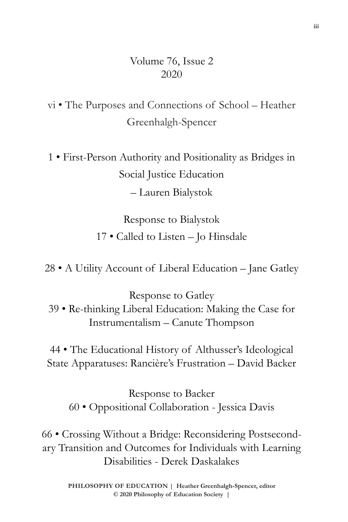## Volume 76, Issue 2 2020

vi • The Purposes and Connections of School – Heather Greenhalgh-Spencer

1 • First-Person Authority and Positionality as Bridges in Social Justice Education – Lauren Bialystok

> Response to Bialystok 17 • Called to Listen – Jo Hinsdale

28 • A Utility Account of Liberal Education – Jane Gatley

Response to Gatley 39 • Re-thinking Liberal Education: Making the Case for Instrumentalism – Canute Thompson

44 • The Educational History of Althusser's Ideological State Apparatuses: Rancière's Frustration – David Backer

Response to Backer 60 • Oppositional Collaboration - Jessica Davis

66 • Crossing Without a Bridge: Reconsidering Postsecondary Transition and Outcomes for Individuals with Learning Disabilities - Derek Daskalakes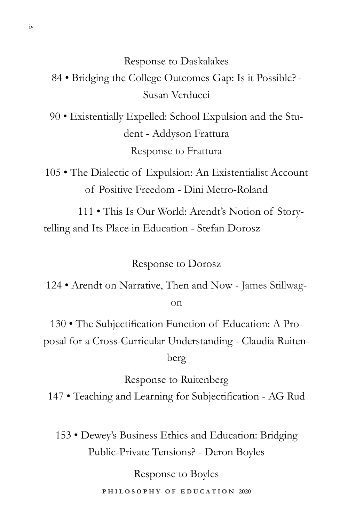Response to Daskalakes

84 • Bridging the College Outcomes Gap: Is it Possible?- Susan Verducci

90 • Existentially Expelled: School Expulsion and the Student - Addyson Frattura Response to Frattura

105 • The Dialectic of Expulsion: An Existentialist Account of Positive Freedom - Dini Metro-Roland

111 • This Is Our World: Arendt's Notion of Storytelling and Its Place in Education - Stefan Dorosz

Response to Dorosz

124 • Arendt on Narrative, Then and Now - James Stillwagon

130 • The Subjectification Function of Education: A Proposal for a Cross-Curricular Understanding - Claudia Ruitenberg

Response to Ruitenberg 147 • Teaching and Learning for Subjectification - AG Rud

153 • Dewey's Business Ethics and Education: Bridging Public-Private Tensions? - Deron Boyles

> **P H I L O S O P H Y O F E D U C A T I O N 2020** Response to Boyles